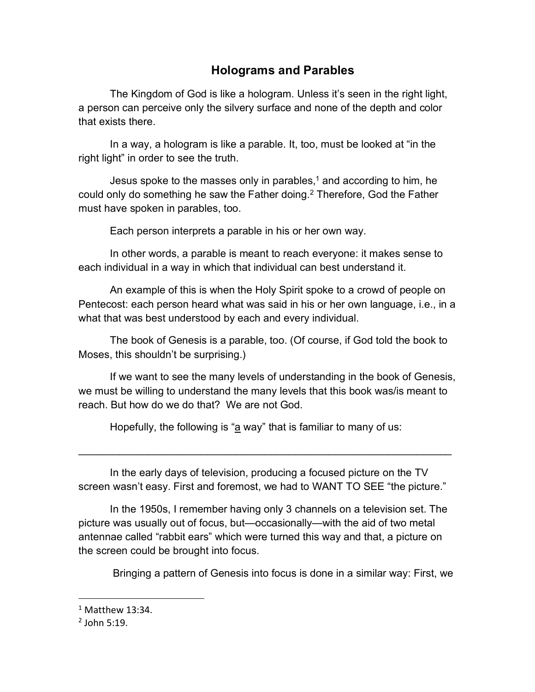## **Holograms and Parables**

The Kingdom of God is like a hologram. Unless it's seen in the right light, a person can perceive only the silvery surface and none of the depth and color that exists there.

In a way, a hologram is like a parable. It, too, must be looked at "in the right light" in order to see the truth.

Jesus spoke to the masses only in parables, $1$  and according to him, he could only do something he saw the Father doing. <sup>2</sup> Therefore, God the Father must have spoken in parables, too.

Each person interprets a parable in his or her own way.

In other words, a parable is meant to reach everyone: it makes sense to each individual in a way in which that individual can best understand it.

An example of this is when the Holy Spirit spoke to a crowd of people on Pentecost: each person heard what was said in his or her own language, i.e., in a what that was best understood by each and every individual.

The book of Genesis is a parable, too. (Of course, if God told the book to Moses, this shouldn't be surprising.)

If we want to see the many levels of understanding in the book of Genesis, we must be willing to understand the many levels that this book was/is meant to reach. But how do we do that? We are not God.

Hopefully, the following is "a way" that is familiar to many of us:

In the early days of television, producing a focused picture on the TV screen wasn't easy. First and foremost, we had to WANT TO SEE "the picture."

\_\_\_\_\_\_\_\_\_\_\_\_\_\_\_\_\_\_\_\_\_\_\_\_\_\_\_\_\_\_\_\_\_\_\_\_\_\_\_\_\_\_\_\_\_\_\_\_\_\_\_\_\_\_\_\_\_\_\_\_\_\_\_\_

In the 1950s, I remember having only 3 channels on a television set. The picture was usually out of focus, but—occasionally—with the aid of two metal antennae called "rabbit ears" which were turned this way and that, a picture on the screen could be brought into focus.

Bringing a pattern of Genesis into focus is done in a similar way: First, we

 $1$  Matthew 13:34.

 $<sup>2</sup>$  John 5:19.</sup>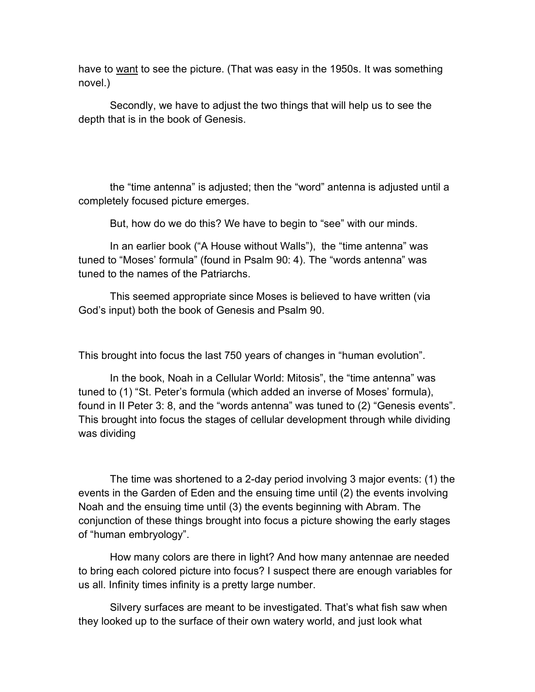have to want to see the picture. (That was easy in the 1950s. It was something novel.)

Secondly, we have to adjust the two things that will help us to see the depth that is in the book of Genesis.

the "time antenna" is adjusted; then the "word" antenna is adjusted until a completely focused picture emerges.

But, how do we do this? We have to begin to "see" with our minds.

In an earlier book ("A House without Walls"), the "time antenna" was tuned to "Moses' formula" (found in Psalm 90: 4). The "words antenna" was tuned to the names of the Patriarchs.

This seemed appropriate since Moses is believed to have written (via God's input) both the book of Genesis and Psalm 90.

This brought into focus the last 750 years of changes in "human evolution".

In the book, Noah in a Cellular World: Mitosis", the "time antenna" was tuned to (1) "St. Peter's formula (which added an inverse of Moses' formula), found in II Peter 3: 8, and the "words antenna" was tuned to (2) "Genesis events". This brought into focus the stages of cellular development through while dividing was dividing

The time was shortened to a 2-day period involving 3 major events: (1) the events in the Garden of Eden and the ensuing time until (2) the events involving Noah and the ensuing time until (3) the events beginning with Abram. The conjunction of these things brought into focus a picture showing the early stages of "human embryology".

How many colors are there in light? And how many antennae are needed to bring each colored picture into focus? I suspect there are enough variables for us all. Infinity times infinity is a pretty large number.

Silvery surfaces are meant to be investigated. That's what fish saw when they looked up to the surface of their own watery world, and just look what